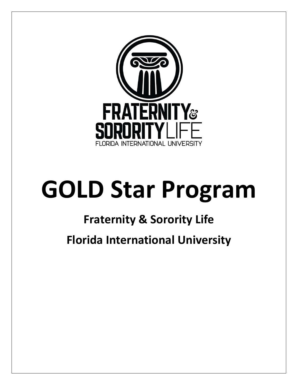

# **GOLD Star Program**

## **Fraternity & Sorority Life**

**Florida International University**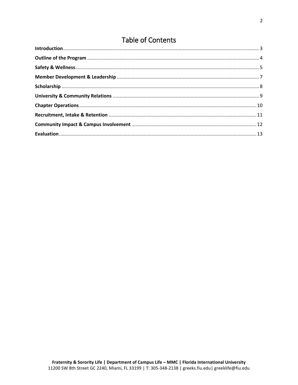## **Table of Contents**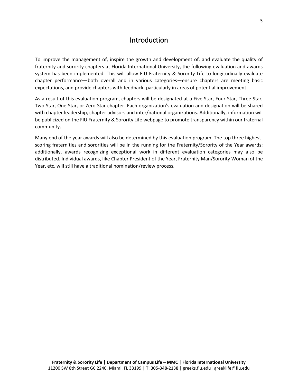#### Introduction

<span id="page-2-0"></span>To improve the management of, inspire the growth and development of, and evaluate the quality of fraternity and sorority chapters at Florida International University, the following evaluation and awards system has been implemented. This will allow FIU Fraternity & Sorority Life to longitudinally evaluate chapter performance—both overall and in various categories—ensure chapters are meeting basic expectations, and provide chapters with feedback, particularly in areas of potential improvement.

As a result of this evaluation program, chapters will be designated at a Five Star, Four Star, Three Star, Two Star, One Star, or Zero Star chapter. Each organization's evaluation and designation will be shared with chapter leadership, chapter advisors and inter/national organizations. Additionally, information will be publicized on the FIU Fraternity & Sorority Life webpage to promote transparency within our fraternal community.

Many end of the year awards will also be determined by this evaluation program. The top three highestscoring fraternities and sororities will be in the running for the Fraternity/Sorority of the Year awards; additionally, awards recognizing exceptional work in different evaluation categories may also be distributed. Individual awards, like Chapter President of the Year, Fraternity Man/Sorority Woman of the Year, etc. will still have a traditional nomination/review process.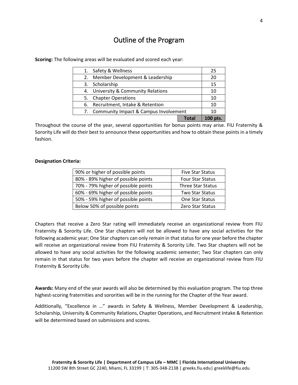#### Outline of the Program

| 7. Community Impact & Campus Involvement |                                     | 10 |    |
|------------------------------------------|-------------------------------------|----|----|
| Recruitment, Intake & Retention<br>6.    |                                     | 10 |    |
|                                          | 5. Chapter Operations               |    | 10 |
|                                          | 4. University & Community Relations |    | 10 |
|                                          | 3. Scholarship                      |    | 15 |
| 2.                                       | Member Development & Leadership     |    | 20 |
| 1.                                       | Safety & Wellness                   |    | 25 |

<span id="page-3-0"></span>**Scoring:** The following areas will be evaluated and scored each year:

Throughout the course of the year, several opportunities for bonus points may arise. FIU Fraternity & Sorority Life will do their best to announce these opportunities and how to obtain these points in a timely fashion.

#### **Designation Criteria:**

| 90% or higher of possible points    | <b>Five Star Status</b>  |
|-------------------------------------|--------------------------|
| 80% - 89% higher of possible points | <b>Four Star Status</b>  |
| 70% - 79% higher of possible points | <b>Three Star Status</b> |
| 60% - 69% higher of possible points | <b>Two Star Status</b>   |
| 50% - 59% higher of possible points | One Star Status          |
| Below 50% of possible points        | Zero Star Status         |

Chapters that receive a Zero Star rating will immediately receive an organizational review from FIU Fraternity & Sorority Life. One Star chapters will not be allowed to have any social activities for the following academic year; One Star chapters can only remain in that status for one year before the chapter will receive an organizational review from FIU Fraternity & Sorority Life. Two Star chapters will not be allowed to have any social activities for the following academic semester; Two Star chapters can only remain in that status for two years before the chapter will receive an organizational review from FIU Fraternity & Sorority Life.

**Awards:** Many end of the year awards will also be determined by this evaluation program. The top three highest-scoring fraternities and sororities will be in the running for the Chapter of the Year award.

Additionally, "Excellence in …" awards in Safety & Wellness, Member Development & Leadership, Scholarship, University & Community Relations, Chapter Operations, and Recruitment Intake & Retention will be determined based on submissions and scores.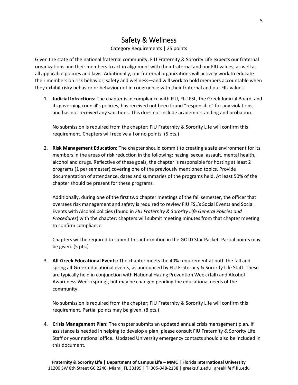#### Safety & Wellness

#### Category Requirements | 25 points

<span id="page-4-0"></span>Given the state of the national fraternal community, FIU Fraternity & Sorority Life expects our fraternal organizations and their members to act in alignment with their fraternal and our FIU values, as well as all applicable policies and laws. Additionally, our fraternal organizations will actively work to educate their members on risk behavior, safety and wellness—and will work to hold members accountable when they exhibit risky behavior or behavior not in congruence with their fraternal and our FIU values.

1. **Judicial Infractions:** The chapter is in compliance with FIU, FIU FSL, the Greek Judicial Board, and its governing council's policies, has received not been found "responsible" for any violations, and has not received any sanctions. This does not include academic standing and probation.

No submission is required from the chapter; FIU Fraternity & Sorority Life will confirm this requirement. Chapters will receive all or no points. (5 pts.)

2. **Risk Management Education:** The chapter should commit to creating a safe environment for its members in the areas of risk reduction in the following: hazing, sexual assault, mental health, alcohol and drugs. Reflective of these goals, the chapter is responsible for hosting at least 2 programs (1 per semester) covering one of the previously mentioned topics. Provide documentation of attendance, dates and summaries of the programs held. At least 50% of the chapter should be present for these programs.

Additionally, during one of the first two chapter meetings of the fall semester, the officer that oversees risk management and safety is required to review FIU FSL's Social Events and Social Events with Alcohol policies (found in *FIU Fraternity & Sorority Life General Policies and Procedures*) with the chapter; chapters will submit meeting minutes from that chapter meeting to confirm compliance.

Chapters will be required to submit this information in the GOLD Star Packet. Partial points may be given. (5 pts.)

3. **All-Greek Educational Events:** The chapter meets the 40% requirement at both the fall and spring all-Greek educational events, as announced by FIU Fraternity & Sorority Life Staff. These are typically held in conjunction with National Hazing Prevention Week (fall) and Alcohol Awareness Week (spring), but may be changed pending the educational needs of the community.

No submission is required from the chapter; FIU Fraternity & Sorority Life will confirm this requirement. Partial points may be given. (8 pts.)

4. **Crisis Management Plan:** The chapter submits an updated annual crisis management plan. If assistance is needed in helping to develop a plan, please consult FIU Fraternity & Sorority Life Staff or your national office. Updated University emergency contacts should also be included in this document.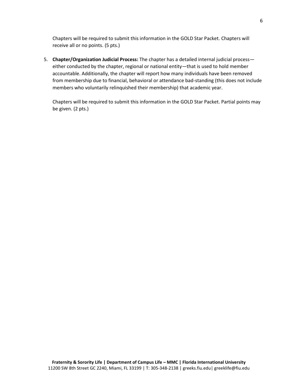Chapters will be required to submit this information in the GOLD Star Packet. Chapters will receive all or no points. (5 pts.)

5. **Chapter/Organization Judicial Process:** The chapter has a detailed internal judicial process either conducted by the chapter, regional or national entity—that is used to hold member accountable. Additionally, the chapter will report how many individuals have been removed from membership due to financial, behavioral or attendance bad-standing (this does not include members who voluntarily relinquished their membership) that academic year.

Chapters will be required to submit this information in the GOLD Star Packet. Partial points may be given. (2 pts.)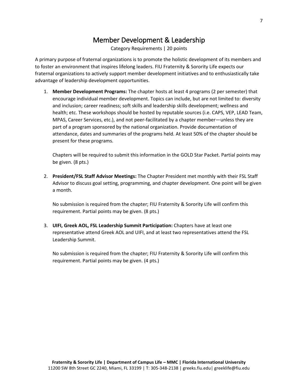## Member Development & Leadership

Category Requirements | 20 points

<span id="page-6-0"></span>A primary purpose of fraternal organizations is to promote the holistic development of its members and to foster an environment that inspires lifelong leaders. FIU Fraternity & Sorority Life expects our fraternal organizations to actively support member development initiatives and to enthusiastically take advantage of leadership development opportunities.

1. **Member Development Programs:** The chapter hosts at least 4 programs (2 per semester) that encourage individual member development. Topics can include, but are not limited to: diversity and inclusion; career readiness; soft skills and leadership skills development; wellness and health; etc. These workshops should be hosted by reputable sources (i.e. CAPS, VEP, LEAD Team, MPAS, Career Services, etc.), and not peer-facilitated by a chapter member—unless they are part of a program sponsored by the national organization. Provide documentation of attendance, dates and summaries of the programs held. At least 50% of the chapter should be present for these programs.

Chapters will be required to submit this information in the GOLD Star Packet. Partial points may be given. (8 pts.)

2. **President/FSL Staff Advisor Meetings:** The Chapter President met monthly with their FSL Staff Advisor to discuss goal setting, programming, and chapter development. One point will be given a month.

No submission is required from the chapter; FIU Fraternity & Sorority Life will confirm this requirement. Partial points may be given. (8 pts.)

3. **UIFI, Greek AOL, FSL Leadership Summit Participation:** Chapters have at least one representative attend Greek AOL and UIFI, and at least two representatives attend the FSL Leadership Summit.

No submission is required from the chapter; FIU Fraternity & Sorority Life will confirm this requirement. Partial points may be given. (4 pts.)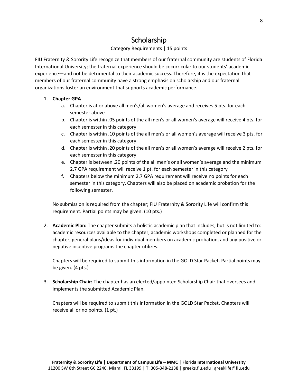## **Scholarship**

#### Category Requirements | 15 points

<span id="page-7-0"></span>FIU Fraternity & Sorority Life recognize that members of our fraternal community are students of Florida International University; the fraternal experience should be cocurricular to our students' academic experience—and not be detrimental to their academic success. Therefore, it is the expectation that members of our fraternal community have a strong emphasis on scholarship and our fraternal organizations foster an environment that supports academic performance.

#### 1. **Chapter GPA**

- a. Chapter is at or above all men's/all women's average and receives 5 pts. for each semester above
- b. Chapter is within .05 points of the all men's or all women's average will receive 4 pts. for each semester in this category
- c. Chapter is within .10 points of the all men's or all women's average will receive 3 pts. for each semester in this category
- d. Chapter is within .20 points of the all men's or all women's average will receive 2 pts. for each semester in this category
- e. Chapter is between .20 points of the all men's or all women's average and the minimum 2.7 GPA requirement will receive 1 pt. for each semester in this category
- f. Chapters below the minimum 2.7 GPA requirement will receive no points for each semester in this category. Chapters will also be placed on academic probation for the following semester.

No submission is required from the chapter; FIU Fraternity & Sorority Life will confirm this requirement. Partial points may be given. (10 pts.)

2. **Academic Plan:** The chapter submits a holistic academic plan that includes, but is not limited to: academic resources available to the chapter, academic workshops completed or planned for the chapter, general plans/ideas for individual members on academic probation, and any positive or negative incentive programs the chapter utilizes.

Chapters will be required to submit this information in the GOLD Star Packet. Partial points may be given. (4 pts.)

3. **Scholarship Chair:** The chapter has an elected/appointed Scholarship Chair that oversees and implements the submitted Academic Plan.

Chapters will be required to submit this information in the GOLD Star Packet. Chapters will receive all or no points. (1 pt.)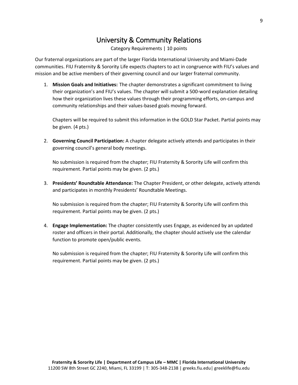### University & Community Relations

Category Requirements | 10 points

<span id="page-8-0"></span>Our fraternal organizations are part of the larger Florida International University and Miami-Dade communities. FIU Fraternity & Sorority Life expects chapters to act in congruence with FIU's values and mission and be active members of their governing council and our larger fraternal community.

1. **Mission Goals and Initiatives:** The chapter demonstrates a significant commitment to living their organization's and FIU's values. The chapter will submit a 500-word explanation detailing how their organization lives these values through their programming efforts, on-campus and community relationships and their values-based goals moving forward.

Chapters will be required to submit this information in the GOLD Star Packet. Partial points may be given. (4 pts.)

2. **Governing Council Participation:** A chapter delegate actively attends and participates in their governing council's general body meetings.

No submission is required from the chapter; FIU Fraternity & Sorority Life will confirm this requirement. Partial points may be given. (2 pts.)

3. **Presidents' Roundtable Attendance:** The Chapter President, or other delegate, actively attends and participates in monthly Presidents' Roundtable Meetings.

No submission is required from the chapter; FIU Fraternity & Sorority Life will confirm this requirement. Partial points may be given. (2 pts.)

4. **Engage Implementation:** The chapter consistently uses Engage, as evidenced by an updated roster and officers in their portal. Additionally, the chapter should actively use the calendar function to promote open/public events.

No submission is required from the chapter; FIU Fraternity & Sorority Life will confirm this requirement. Partial points may be given. (2 pts.)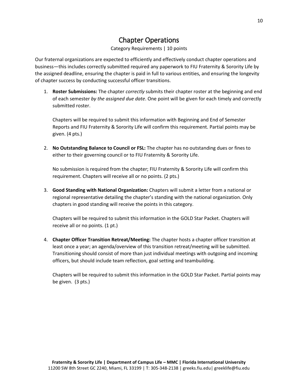## Chapter Operations

#### Category Requirements | 10 points

<span id="page-9-0"></span>Our fraternal organizations are expected to efficiently and effectively conduct chapter operations and business—this includes correctly submitted required any paperwork to FIU Fraternity & Sorority Life by the assigned deadline, ensuring the chapter is paid in full to various entities, and ensuring the longevity of chapter success by conducting successful officer transitions.

1. **Roster Submissions:** The chapter *correctly* submits their chapter roster at the beginning and end of each semester *by the assigned due date*. One point will be given for each timely and correctly submitted roster.

Chapters will be required to submit this information with Beginning and End of Semester Reports and FIU Fraternity & Sorority Life will confirm this requirement. Partial points may be given. (4 pts.)

2. **No Outstanding Balance to Council or FSL:** The chapter has no outstanding dues or fines to either to their governing council or to FIU Fraternity & Sorority Life.

No submission is required from the chapter; FIU Fraternity & Sorority Life will confirm this requirement. Chapters will receive all or no points. (2 pts.)

3. **Good Standing with National Organization:** Chapters will submit a letter from a national or regional representative detailing the chapter's standing with the national organization. Only chapters in good standing will receive the points in this category.

Chapters will be required to submit this information in the GOLD Star Packet. Chapters will receive all or no points. (1 pt.)

4. **Chapter Officer Transition Retreat/Meeting:** The chapter hosts a chapter officer transition at least once a year; an agenda/overview of this transition retreat/meeting will be submitted. Transitioning should consist of more than just individual meetings with outgoing and incoming officers, but should include team reflection, goal setting and teambuilding.

Chapters will be required to submit this information in the GOLD Star Packet. Partial points may be given. (3 pts.)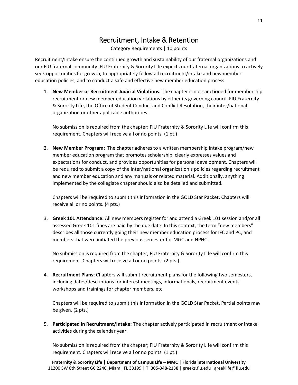#### Recruitment, Intake & Retention

Category Requirements | 10 points

<span id="page-10-0"></span>Recruitment/Intake ensure the continued growth and sustainability of our fraternal organizations and our FIU fraternal community. FIU Fraternity & Sorority Life expects our fraternal organizations to actively seek opportunities for growth, to appropriately follow all recruitment/intake and new member education policies, and to conduct a safe and effective new member education process.

1. **New Member or Recruitment Judicial Violations:** The chapter is not sanctioned for membership recruitment or new member education violations by either its governing council, FIU Fraternity & Sorority Life, the Office of Student Conduct and Conflict Resolution, their inter/national organization or other applicable authorities.

No submission is required from the chapter; FIU Fraternity & Sorority Life will confirm this requirement. Chapters will receive all or no points. (1 pt.)

2. **New Member Program:** The chapter adheres to a written membership intake program/new member education program that promotes scholarship, clearly expresses values and expectations for conduct, and provides opportunities for personal development. Chapters will be required to submit a copy of the inter/national organization's policies regarding recruitment and new member education and any manuals or related material. Additionally, anything implemented by the collegiate chapter should also be detailed and submitted.

Chapters will be required to submit this information in the GOLD Star Packet. Chapters will receive all or no points. (4 pts.)

3. **Greek 101 Attendance:** All new members register for and attend a Greek 101 session and/or all assessed Greek 101 fines are paid by the due date. In this context, the term "new members" describes all those currently going their new member education process for IFC and PC, and members that were initiated the previous semester for MGC and NPHC.

No submission is required from the chapter; FIU Fraternity & Sorority Life will confirm this requirement. Chapters will receive all or no points. (2 pts.)

4. **Recruitment Plans:** Chapters will submit recruitment plans for the following two semesters, including dates/descriptions for interest meetings, informationals, recruitment events, workshops and trainings for chapter members, etc.

Chapters will be required to submit this information in the GOLD Star Packet. Partial points may be given. (2 pts.)

5. **Participated in Recruitment/Intake:** The chapter actively participated in recruitment or intake activities during the calendar year.

No submission is required from the chapter; FIU Fraternity & Sorority Life will confirm this requirement. Chapters will receive all or no points. (1 pt.)

**Fraternity & Sorority Life | Department of Campus Life – MMC | Florida International University** 11200 SW 8th Street GC 2240, Miami, FL 33199 | T: 305-348-2138 | greeks.fiu.edu| greeklife@fiu.edu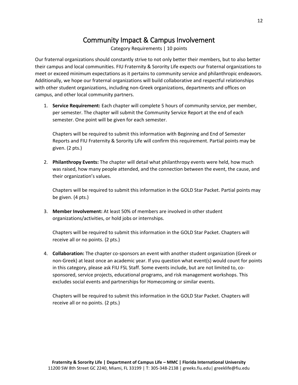## Community Impact & Campus Involvement

Category Requirements | 10 points

<span id="page-11-0"></span>Our fraternal organizations should constantly strive to not only better their members, but to also better their campus and local communities. FIU Fraternity & Sorority Life expects our fraternal organizations to meet or exceed minimum expectations as it pertains to community service and philanthropic endeavors. Additionally, we hope our fraternal organizations will build collaborative and respectful relationships with other student organizations, including non-Greek organizations, departments and offices on campus, and other local community partners.

1. **Service Requirement:** Each chapter will complete 5 hours of community service, per member, per semester. The chapter will submit the Community Service Report at the end of each semester. One point will be given for each semester.

Chapters will be required to submit this information with Beginning and End of Semester Reports and FIU Fraternity & Sorority Life will confirm this requirement. Partial points may be given. (2 pts.)

2. **Philanthropy Events:** The chapter will detail what philanthropy events were held, how much was raised, how many people attended, and the connection between the event, the cause, and their organization's values.

Chapters will be required to submit this information in the GOLD Star Packet. Partial points may be given. (4 pts.)

3. **Member Involvement:** At least 50% of members are involved in other student organizations/activities, or hold jobs or internships.

Chapters will be required to submit this information in the GOLD Star Packet. Chapters will receive all or no points. (2 pts.)

4. **Collaboration:** The chapter co-sponsors an event with another student organization (Greek or non-Greek) at least once an academic year. If you question what event(s) would count for points in this category, please ask FIU FSL Staff. Some events include, but are not limited to, cosponsored, service projects, educational programs, and risk management workshops. This excludes social events and partnerships for Homecoming or similar events.

Chapters will be required to submit this information in the GOLD Star Packet. Chapters will receive all or no points. (2 pts.)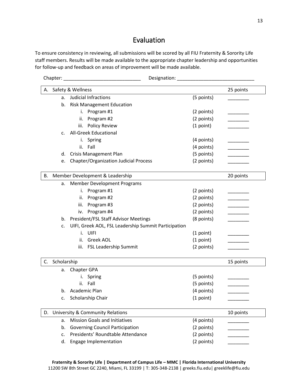#### Evaluation

<span id="page-12-0"></span>To ensure consistency in reviewing, all submissions will be scored by all FIU Fraternity & Sorority Life staff members. Results will be made available to the appropriate chapter leadership and opportunities for follow-up and feedback on areas of improvement will be made available.

| Safety & Wellness<br>25 points<br>А.<br><b>Judicial Infractions</b><br>(5 points)<br>a.<br><b>Risk Management Education</b><br>b.<br>(2 points)<br>Program #1<br>i.<br>(2 points)<br>Program #2<br>ii.<br>iii.<br><b>Policy Review</b><br>(1 point)<br><b>All-Greek Educational</b><br>c.<br>i. Spring<br>(4 points)<br>Fall<br>ii.<br>(4 points)<br>(5 points)<br><b>Crisis Management Plan</b><br>d.<br><b>Chapter/Organization Judicial Process</b><br>(2 points)<br>e.<br>В.<br>Member Development & Leadership<br>20 points<br><b>Member Development Programs</b><br>a.<br>Program #1<br>(2 points)<br>i.<br>(2 points)<br>Program #2<br>ii.<br>Program #3<br>(2 points)<br>iii.<br>Program #4<br>(2 points)<br>iv.<br><b>President/FSL Staff Advisor Meetings</b><br>(8 points)<br>b.<br>UIFI, Greek AOL, FSL Leadership Summit Participation<br>c.<br>UIFI<br>i.<br>(1 point)<br>(1 point)<br>Greek AOL<br>ii.<br>FSL Leadership Summit<br>(2 points)<br>iii.<br>C.<br>Scholarship<br>15 points<br>Chapter GPA<br>a.<br>(5 points)<br>i. Spring<br>Fall<br>(5 points)<br>ii.<br>Academic Plan<br>(4 points)<br>b.<br>Scholarship Chair<br>(1 point)<br>c.<br>University & Community Relations<br>10 points<br>D.<br><b>Mission Goals and Initiatives</b><br>(4 points)<br>a.<br><b>Governing Council Participation</b><br>(2 points)<br>b.<br>Presidents' Roundtable Attendance<br>(2 points)<br>c. |  | Designation: National Contract of the Contract of the Contract of the Contract of the Contract of the Contract of the Contract of the Contract of the Contract of the Contract of the Contract of the Contract of the Contract |  |
|------------------------------------------------------------------------------------------------------------------------------------------------------------------------------------------------------------------------------------------------------------------------------------------------------------------------------------------------------------------------------------------------------------------------------------------------------------------------------------------------------------------------------------------------------------------------------------------------------------------------------------------------------------------------------------------------------------------------------------------------------------------------------------------------------------------------------------------------------------------------------------------------------------------------------------------------------------------------------------------------------------------------------------------------------------------------------------------------------------------------------------------------------------------------------------------------------------------------------------------------------------------------------------------------------------------------------------------------------------------------------------------------------------|--|--------------------------------------------------------------------------------------------------------------------------------------------------------------------------------------------------------------------------------|--|
|                                                                                                                                                                                                                                                                                                                                                                                                                                                                                                                                                                                                                                                                                                                                                                                                                                                                                                                                                                                                                                                                                                                                                                                                                                                                                                                                                                                                            |  |                                                                                                                                                                                                                                |  |
|                                                                                                                                                                                                                                                                                                                                                                                                                                                                                                                                                                                                                                                                                                                                                                                                                                                                                                                                                                                                                                                                                                                                                                                                                                                                                                                                                                                                            |  |                                                                                                                                                                                                                                |  |
|                                                                                                                                                                                                                                                                                                                                                                                                                                                                                                                                                                                                                                                                                                                                                                                                                                                                                                                                                                                                                                                                                                                                                                                                                                                                                                                                                                                                            |  |                                                                                                                                                                                                                                |  |
|                                                                                                                                                                                                                                                                                                                                                                                                                                                                                                                                                                                                                                                                                                                                                                                                                                                                                                                                                                                                                                                                                                                                                                                                                                                                                                                                                                                                            |  |                                                                                                                                                                                                                                |  |
|                                                                                                                                                                                                                                                                                                                                                                                                                                                                                                                                                                                                                                                                                                                                                                                                                                                                                                                                                                                                                                                                                                                                                                                                                                                                                                                                                                                                            |  |                                                                                                                                                                                                                                |  |
|                                                                                                                                                                                                                                                                                                                                                                                                                                                                                                                                                                                                                                                                                                                                                                                                                                                                                                                                                                                                                                                                                                                                                                                                                                                                                                                                                                                                            |  |                                                                                                                                                                                                                                |  |
|                                                                                                                                                                                                                                                                                                                                                                                                                                                                                                                                                                                                                                                                                                                                                                                                                                                                                                                                                                                                                                                                                                                                                                                                                                                                                                                                                                                                            |  |                                                                                                                                                                                                                                |  |
|                                                                                                                                                                                                                                                                                                                                                                                                                                                                                                                                                                                                                                                                                                                                                                                                                                                                                                                                                                                                                                                                                                                                                                                                                                                                                                                                                                                                            |  |                                                                                                                                                                                                                                |  |
|                                                                                                                                                                                                                                                                                                                                                                                                                                                                                                                                                                                                                                                                                                                                                                                                                                                                                                                                                                                                                                                                                                                                                                                                                                                                                                                                                                                                            |  |                                                                                                                                                                                                                                |  |
|                                                                                                                                                                                                                                                                                                                                                                                                                                                                                                                                                                                                                                                                                                                                                                                                                                                                                                                                                                                                                                                                                                                                                                                                                                                                                                                                                                                                            |  |                                                                                                                                                                                                                                |  |
|                                                                                                                                                                                                                                                                                                                                                                                                                                                                                                                                                                                                                                                                                                                                                                                                                                                                                                                                                                                                                                                                                                                                                                                                                                                                                                                                                                                                            |  |                                                                                                                                                                                                                                |  |
|                                                                                                                                                                                                                                                                                                                                                                                                                                                                                                                                                                                                                                                                                                                                                                                                                                                                                                                                                                                                                                                                                                                                                                                                                                                                                                                                                                                                            |  |                                                                                                                                                                                                                                |  |
|                                                                                                                                                                                                                                                                                                                                                                                                                                                                                                                                                                                                                                                                                                                                                                                                                                                                                                                                                                                                                                                                                                                                                                                                                                                                                                                                                                                                            |  |                                                                                                                                                                                                                                |  |
|                                                                                                                                                                                                                                                                                                                                                                                                                                                                                                                                                                                                                                                                                                                                                                                                                                                                                                                                                                                                                                                                                                                                                                                                                                                                                                                                                                                                            |  |                                                                                                                                                                                                                                |  |
|                                                                                                                                                                                                                                                                                                                                                                                                                                                                                                                                                                                                                                                                                                                                                                                                                                                                                                                                                                                                                                                                                                                                                                                                                                                                                                                                                                                                            |  |                                                                                                                                                                                                                                |  |
|                                                                                                                                                                                                                                                                                                                                                                                                                                                                                                                                                                                                                                                                                                                                                                                                                                                                                                                                                                                                                                                                                                                                                                                                                                                                                                                                                                                                            |  |                                                                                                                                                                                                                                |  |
|                                                                                                                                                                                                                                                                                                                                                                                                                                                                                                                                                                                                                                                                                                                                                                                                                                                                                                                                                                                                                                                                                                                                                                                                                                                                                                                                                                                                            |  |                                                                                                                                                                                                                                |  |
|                                                                                                                                                                                                                                                                                                                                                                                                                                                                                                                                                                                                                                                                                                                                                                                                                                                                                                                                                                                                                                                                                                                                                                                                                                                                                                                                                                                                            |  |                                                                                                                                                                                                                                |  |
|                                                                                                                                                                                                                                                                                                                                                                                                                                                                                                                                                                                                                                                                                                                                                                                                                                                                                                                                                                                                                                                                                                                                                                                                                                                                                                                                                                                                            |  |                                                                                                                                                                                                                                |  |
|                                                                                                                                                                                                                                                                                                                                                                                                                                                                                                                                                                                                                                                                                                                                                                                                                                                                                                                                                                                                                                                                                                                                                                                                                                                                                                                                                                                                            |  |                                                                                                                                                                                                                                |  |
|                                                                                                                                                                                                                                                                                                                                                                                                                                                                                                                                                                                                                                                                                                                                                                                                                                                                                                                                                                                                                                                                                                                                                                                                                                                                                                                                                                                                            |  |                                                                                                                                                                                                                                |  |
|                                                                                                                                                                                                                                                                                                                                                                                                                                                                                                                                                                                                                                                                                                                                                                                                                                                                                                                                                                                                                                                                                                                                                                                                                                                                                                                                                                                                            |  |                                                                                                                                                                                                                                |  |
|                                                                                                                                                                                                                                                                                                                                                                                                                                                                                                                                                                                                                                                                                                                                                                                                                                                                                                                                                                                                                                                                                                                                                                                                                                                                                                                                                                                                            |  |                                                                                                                                                                                                                                |  |
|                                                                                                                                                                                                                                                                                                                                                                                                                                                                                                                                                                                                                                                                                                                                                                                                                                                                                                                                                                                                                                                                                                                                                                                                                                                                                                                                                                                                            |  |                                                                                                                                                                                                                                |  |
|                                                                                                                                                                                                                                                                                                                                                                                                                                                                                                                                                                                                                                                                                                                                                                                                                                                                                                                                                                                                                                                                                                                                                                                                                                                                                                                                                                                                            |  |                                                                                                                                                                                                                                |  |
|                                                                                                                                                                                                                                                                                                                                                                                                                                                                                                                                                                                                                                                                                                                                                                                                                                                                                                                                                                                                                                                                                                                                                                                                                                                                                                                                                                                                            |  |                                                                                                                                                                                                                                |  |
|                                                                                                                                                                                                                                                                                                                                                                                                                                                                                                                                                                                                                                                                                                                                                                                                                                                                                                                                                                                                                                                                                                                                                                                                                                                                                                                                                                                                            |  |                                                                                                                                                                                                                                |  |
|                                                                                                                                                                                                                                                                                                                                                                                                                                                                                                                                                                                                                                                                                                                                                                                                                                                                                                                                                                                                                                                                                                                                                                                                                                                                                                                                                                                                            |  |                                                                                                                                                                                                                                |  |
|                                                                                                                                                                                                                                                                                                                                                                                                                                                                                                                                                                                                                                                                                                                                                                                                                                                                                                                                                                                                                                                                                                                                                                                                                                                                                                                                                                                                            |  |                                                                                                                                                                                                                                |  |
|                                                                                                                                                                                                                                                                                                                                                                                                                                                                                                                                                                                                                                                                                                                                                                                                                                                                                                                                                                                                                                                                                                                                                                                                                                                                                                                                                                                                            |  |                                                                                                                                                                                                                                |  |
|                                                                                                                                                                                                                                                                                                                                                                                                                                                                                                                                                                                                                                                                                                                                                                                                                                                                                                                                                                                                                                                                                                                                                                                                                                                                                                                                                                                                            |  |                                                                                                                                                                                                                                |  |
|                                                                                                                                                                                                                                                                                                                                                                                                                                                                                                                                                                                                                                                                                                                                                                                                                                                                                                                                                                                                                                                                                                                                                                                                                                                                                                                                                                                                            |  |                                                                                                                                                                                                                                |  |
| Engage Implementation<br>(2 points)<br>d.                                                                                                                                                                                                                                                                                                                                                                                                                                                                                                                                                                                                                                                                                                                                                                                                                                                                                                                                                                                                                                                                                                                                                                                                                                                                                                                                                                  |  |                                                                                                                                                                                                                                |  |